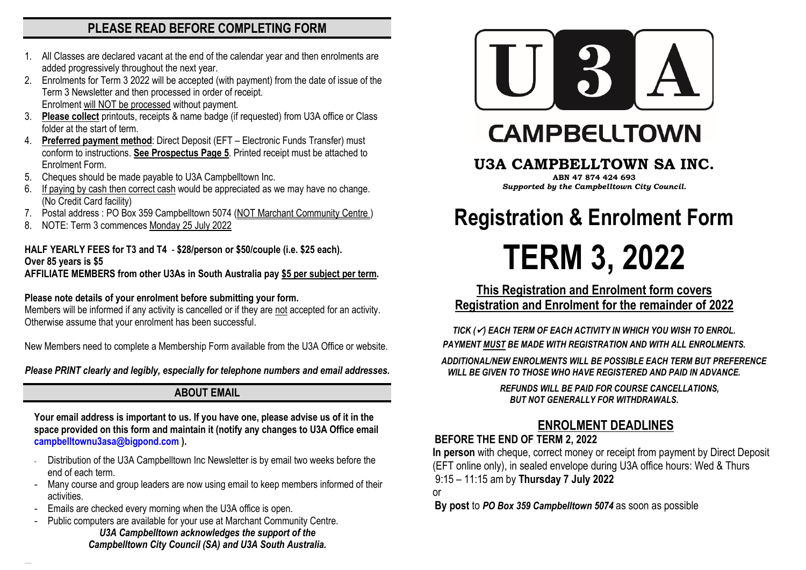## **PLEASE READ BEFORE COMPLETING FORM**

- 1. All Classes are declared vacant at the end of the calendar year and then enrolments are added progressively throughout the next year.
- 2. Enrolments for Term 3 2022 will be accepted (with payment) from the date of issue of the Term 3 Newsletter and then processed in order of receipt. Enrolment will NOT be processed without payment.
- 3. **Please collect** printouts, receipts & name badge (if requested) from U3A office or Class folder at the start of term.
- 4. **Preferred payment method**: Direct Deposit (EFT Electronic Funds Transfer) must conform to instructions. **See Prospectus Page 5**. Printed receipt must be attached to Enrolment Form.
- 5. Cheques should be made payable to U3A Campbelltown Inc.
- If paying by cash then correct cash would be appreciated as we may have no change. (No Credit Card facility)
- 7. Postal address : PO Box 359 Campbelltown 5074 (NOT Marchant Community Centre )
- 8. NOTE: Term 3 commences Monday 25 July 2022

#### **HALF YEARLY FEES for T3 and T4** - **\$28/person or \$50/couple (i.e. \$25 each). Over 85 years is \$5**

**AFFILIATE MEMBERS from other U3As in South Australia pay \$5 per subject per term.**

#### **Please note details of your enrolment before submitting your form.**

Members will be informed if any activity is cancelled or if they are not accepted for an activity. Otherwise assume that your enrolment has been successful.

New Members need to complete a Membership Form available from the U3A Office or website.

*Please PRINT clearly and legibly, especially for telephone numbers and email addresses.*

## **ABOUT EMAIL**

**Your email address is important to us. If you have one, please advise us of it in the space provided on this form and maintain it (notify any changes to U3A Office email [campbelltownu3asa@bigpond.com](mailto:campbelltownu3asa@bigpond.com) ).**

- Distribution of the U3A Campbelltown Inc Newsletter is by email two weeks before the end of each term.
- Many course and group leaders are now using email to keep members informed of their activities.
- Emails are checked every morning when the U3A office is open.
- Public computers are available for your use at Marchant Community Centre. *U3A Campbelltown acknowledges the support of the Campbelltown City Council (SA) and U3A South Australia.*



## **CAMPBELLTOWN**

## **U3A CAMPBELLTOWN SA INC.**

**ABN 47 874 424 693** *Supported by the Campbelltown City Council.*

# **Registration & Enrolment Form TERM 3, 2022**

**This Registration and Enrolment form covers Registration and Enrolment for the remainder of 2022**

*TICK (*✓*) EACH TERM OF EACH ACTIVITY IN WHICH YOU WISH TO ENROL. PAYMENT MUST BE MADE WITH REGISTRATION AND WITH ALL ENROLMENTS.*

 *ADDITIONAL/NEW ENROLMENTS WILL BE POSSIBLE EACH TERM BUT PREFERENCE WILL BE GIVEN TO THOSE WHO HAVE REGISTERED AND PAID IN ADVANCE.*

> *REFUNDS WILL BE PAID FOR COURSE CANCELLATIONS, BUT NOT GENERALLY FOR WITHDRAWALS***.**

## **ENROLMENT DEADLINES**

#### **BEFORE THE END OF TERM 2, 2022**

 **In person** with cheque, correct money or receipt from payment by Direct Deposit (EFT online only), in sealed envelope during U3A office hours: Wed & Thurs 9:15 – 11:15 am by **Thursday 7 July 2022**

or

**By post** to *PO Box 359 Campbelltown 5074* as soon as possible